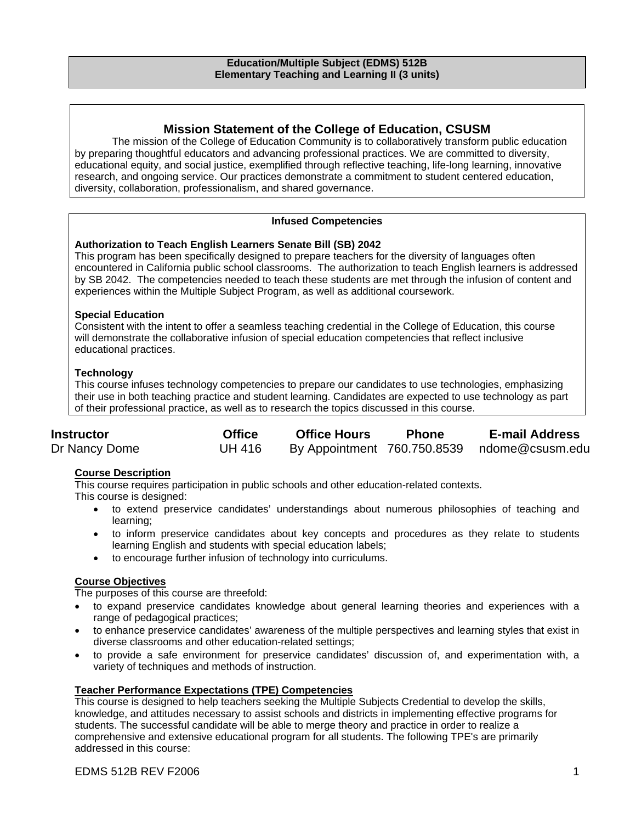## **Mission Statement of the College of Education, CSUSM**

The mission of the College of Education Community is to collaboratively transform public education by preparing thoughtful educators and advancing professional practices. We are committed to diversity, educational equity, and social justice, exemplified through reflective teaching, life-long learning, innovative research, and ongoing service. Our practices demonstrate a commitment to student centered education, diversity, collaboration, professionalism, and shared governance.

## **Infused Competencies**

## **Authorization to Teach English Learners Senate Bill (SB) 2042**

This program has been specifically designed to prepare teachers for the diversity of languages often encountered in California public school classrooms. The authorization to teach English learners is addressed by SB 2042. The competencies needed to teach these students are met through the infusion of content and experiences within the Multiple Subject Program, as well as additional coursework.

## **Special Education**

Consistent with the intent to offer a seamless teaching credential in the College of Education, this course will demonstrate the collaborative infusion of special education competencies that reflect inclusive educational practices.

## **Technology**

This course infuses technology competencies to prepare our candidates to use technologies, emphasizing their use in both teaching practice and student learning. Candidates are expected to use technology as part of their professional practice, as well as to research the topics discussed in this course.

| <b>Instructor</b> | <b>Office</b> | <b>Office Hours</b> | <b>Phone</b> | <b>E-mail Address</b>                       |
|-------------------|---------------|---------------------|--------------|---------------------------------------------|
| Dr Nancy Dome     | UH 416        |                     |              | By Appointment 760.750.8539 ndome@csusm.edu |

## **Course Description**

This course requires participation in public schools and other education-related contexts. This course is designed:

- to extend preservice candidates' understandings about numerous philosophies of teaching and learning;
- to inform preservice candidates about key concepts and procedures as they relate to students learning English and students with special education labels;
- to encourage further infusion of technology into curriculums.

## **Course Objectives**

The purposes of this course are threefold:

- to expand preservice candidates knowledge about general learning theories and experiences with a range of pedagogical practices;
- to enhance preservice candidates' awareness of the multiple perspectives and learning styles that exist in diverse classrooms and other education-related settings;
- to provide a safe environment for preservice candidates' discussion of, and experimentation with, a variety of techniques and methods of instruction.

## **Teacher Performance Expectations (TPE) Competencies**

This course is designed to help teachers seeking the Multiple Subjects Credential to develop the skills, knowledge, and attitudes necessary to assist schools and districts in implementing effective programs for students. The successful candidate will be able to merge theory and practice in order to realize a comprehensive and extensive educational program for all students. The following TPE's are primarily addressed in this course:

## EDMS 512B REV F2006 1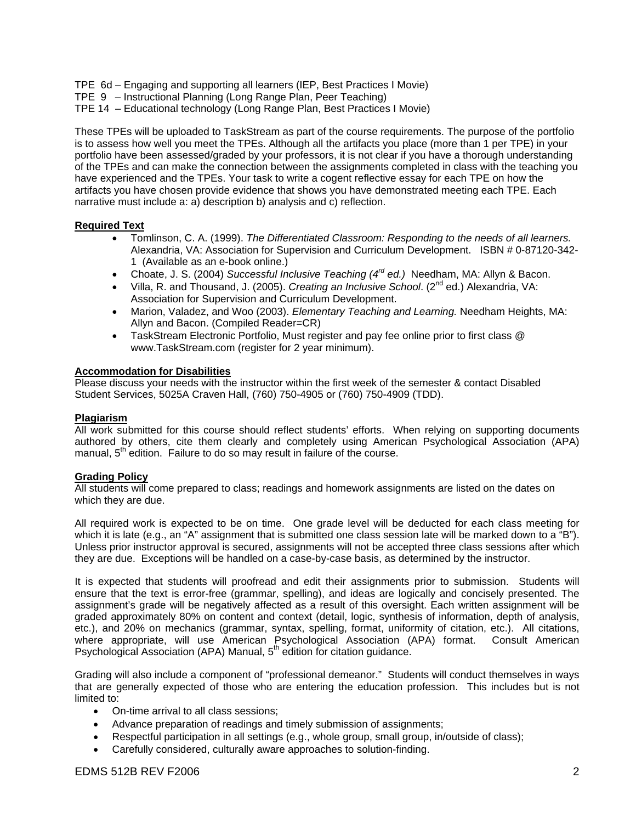TPE 6d – Engaging and supporting all learners (IEP, Best Practices I Movie)

TPE 9 – Instructional Planning (Long Range Plan, Peer Teaching)

TPE 14 – Educational technology (Long Range Plan, Best Practices I Movie)

These TPEs will be uploaded to TaskStream as part of the course requirements. The purpose of the portfolio is to assess how well you meet the TPEs. Although all the artifacts you place (more than 1 per TPE) in your portfolio have been assessed/graded by your professors, it is not clear if you have a thorough understanding of the TPEs and can make the connection between the assignments completed in class with the teaching you have experienced and the TPEs. Your task to write a cogent reflective essay for each TPE on how the artifacts you have chosen provide evidence that shows you have demonstrated meeting each TPE. Each narrative must include a: a) description b) analysis and c) reflection.

## **Required Text**

- Tomlinson, C. A. (1999). *The Differentiated Classroom: Responding to the needs of all learners.*  Alexandria, VA: Association for Supervision and Curriculum Development. ISBN # 0-87120-342- 1 (Available as an e-book online.)
- Choate, J. S. (2004) *Successful Inclusive Teaching (4rd ed.)* Needham, MA: Allyn & Bacon.
- Villa, R. and Thousand, J. (2005). *Creating an Inclusive School*. (2<sup>nd</sup> ed.) Alexandria, VA: Association for Supervision and Curriculum Development.
- Marion, Valadez, and Woo (2003). *Elementary Teaching and Learning.* Needham Heights, MA: Allyn and Bacon. (Compiled Reader=CR)
- TaskStream Electronic Portfolio, Must register and pay fee online prior to first class @ www.TaskStream.com (register for 2 year minimum).

## **Accommodation for Disabilities**

Please discuss your needs with the instructor within the first week of the semester & contact Disabled Student Services, 5025A Craven Hall, (760) 750-4905 or (760) 750-4909 (TDD).

## **Plagiarism**

All work submitted for this course should reflect students' efforts. When relying on supporting documents authored by others, cite them clearly and completely using American Psychological Association (APA) manual, 5<sup>th</sup> edition. Failure to do so may result in failure of the course.

## **Grading Policy**

All students will come prepared to class; readings and homework assignments are listed on the dates on which they are due.

All required work is expected to be on time. One grade level will be deducted for each class meeting for which it is late (e.g., an "A" assignment that is submitted one class session late will be marked down to a "B"). Unless prior instructor approval is secured, assignments will not be accepted three class sessions after which they are due. Exceptions will be handled on a case-by-case basis, as determined by the instructor.

It is expected that students will proofread and edit their assignments prior to submission. Students will ensure that the text is error-free (grammar, spelling), and ideas are logically and concisely presented. The assignment's grade will be negatively affected as a result of this oversight. Each written assignment will be graded approximately 80% on content and context (detail, logic, synthesis of information, depth of analysis, etc.), and 20% on mechanics (grammar, syntax, spelling, format, uniformity of citation, etc.). All citations, where appropriate, will use American Psychological Association (APA) format. Consult American Psychological Association (APA) Manual, 5<sup>th</sup> edition for citation guidance.

Grading will also include a component of "professional demeanor." Students will conduct themselves in ways that are generally expected of those who are entering the education profession. This includes but is not limited to:

- On-time arrival to all class sessions;
- Advance preparation of readings and timely submission of assignments;
- Respectful participation in all settings (e.g., whole group, small group, in/outside of class);
- Carefully considered, culturally aware approaches to solution-finding.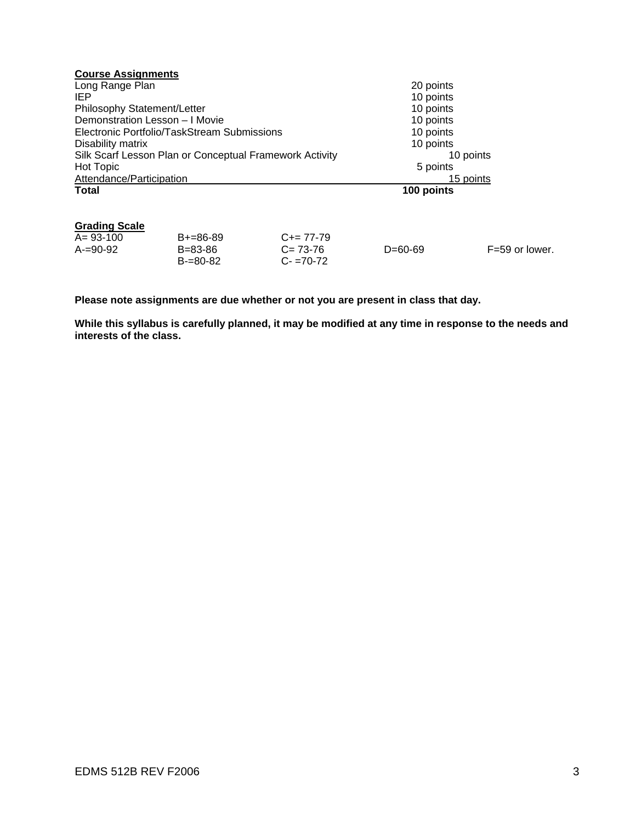| <b>Course Assignments</b>                                                                                                                |                                |                     |                        |                    |  |
|------------------------------------------------------------------------------------------------------------------------------------------|--------------------------------|---------------------|------------------------|--------------------|--|
| Long Range Plan                                                                                                                          |                                |                     | 20 points              |                    |  |
| IEP                                                                                                                                      |                                |                     | 10 points              |                    |  |
| Philosophy Statement/Letter                                                                                                              |                                |                     | 10 points<br>10 points |                    |  |
|                                                                                                                                          | Demonstration Lesson - I Movie |                     |                        |                    |  |
| Electronic Portfolio/TaskStream Submissions<br>Disability matrix<br>Silk Scarf Lesson Plan or Conceptual Framework Activity<br>Hot Topic |                                |                     | 10 points              |                    |  |
|                                                                                                                                          |                                |                     | 10 points              |                    |  |
|                                                                                                                                          |                                |                     | 10 points<br>5 points  |                    |  |
|                                                                                                                                          |                                |                     |                        |                    |  |
| <b>Total</b>                                                                                                                             |                                |                     | 100 points             |                    |  |
| <b>Grading Scale</b>                                                                                                                     |                                |                     |                        |                    |  |
| $A = 93 - 100$                                                                                                                           | $B+=86-89$                     | $C_{\pm} = 77 - 79$ |                        |                    |  |
| $A = 90 - 92$                                                                                                                            | $B = 83 - 86$                  | $C = 73 - 76$       | $D=60-69$              | $F = 59$ or lower. |  |

**Please note assignments are due whether or not you are present in class that day.** 

 $C - 70 - 72$ 

B-=80-82

**While this syllabus is carefully planned, it may be modified at any time in response to the needs and interests of the class.**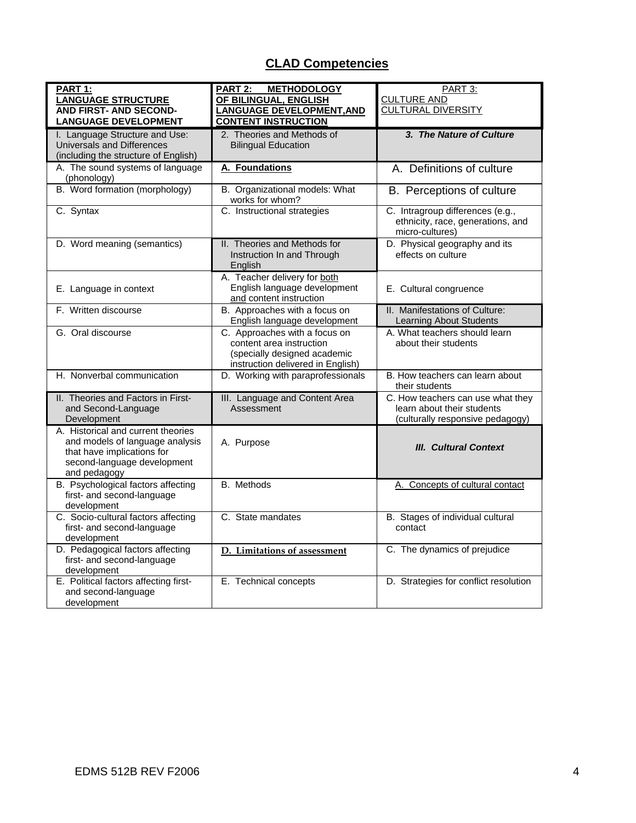# **CLAD Competencies**

| PART 1:                               | PART 2:<br><b>METHODOLOGY</b>     | PART 3:                               |
|---------------------------------------|-----------------------------------|---------------------------------------|
| <b>LANGUAGE STRUCTURE</b>             | OF BILINGUAL, ENGLISH             | <b>CULTURE AND</b>                    |
| <b>AND FIRST- AND SECOND-</b>         | <b>LANGUAGE DEVELOPMENT, AND</b>  | <b>CULTURAL DIVERSITY</b>             |
| <b>LANGUAGE DEVELOPMENT</b>           | <b>CONTENT INSTRUCTION</b>        |                                       |
|                                       |                                   |                                       |
| I. Language Structure and Use:        | 2. Theories and Methods of        | 3. The Nature of Culture              |
| Universals and Differences            | <b>Bilingual Education</b>        |                                       |
| (including the structure of English)  |                                   |                                       |
| A. The sound systems of language      | A. Foundations                    | A. Definitions of culture             |
| (phonology)                           |                                   |                                       |
| B. Word formation (morphology)        | B. Organizational models: What    | B. Perceptions of culture             |
|                                       | works for whom?                   |                                       |
| C. Syntax                             | C. Instructional strategies       | C. Intragroup differences (e.g.,      |
|                                       |                                   | ethnicity, race, generations, and     |
|                                       |                                   | micro-cultures)                       |
| D. Word meaning (semantics)           | II. Theories and Methods for      | D. Physical geography and its         |
|                                       | Instruction In and Through        | effects on culture                    |
|                                       | English                           |                                       |
|                                       | A. Teacher delivery for both      |                                       |
| E. Language in context                | English language development      | E. Cultural congruence                |
|                                       | and content instruction           |                                       |
| F. Written discourse                  | B. Approaches with a focus on     | II. Manifestations of Culture:        |
|                                       | English language development      | Learning About Students               |
| G. Oral discourse                     | C. Approaches with a focus on     | A. What teachers should learn         |
|                                       | content area instruction          | about their students                  |
|                                       | (specially designed academic      |                                       |
|                                       | instruction delivered in English) |                                       |
| H. Nonverbal communication            | D. Working with paraprofessionals | B. How teachers can learn about       |
|                                       |                                   | their students                        |
| II. Theories and Factors in First-    |                                   | C. How teachers can use what they     |
|                                       | III. Language and Content Area    |                                       |
| and Second-Language                   | Assessment                        | learn about their students            |
| Development                           |                                   | (culturally responsive pedagogy)      |
| A. Historical and current theories    |                                   |                                       |
| and models of language analysis       | A. Purpose                        | <b>III.</b> Cultural Context          |
| that have implications for            |                                   |                                       |
| second-language development           |                                   |                                       |
| and pedagogy                          |                                   |                                       |
| B. Psychological factors affecting    | B. Methods                        | A. Concepts of cultural contact       |
| first- and second-language            |                                   |                                       |
| development                           |                                   |                                       |
| C. Socio-cultural factors affecting   | C. State mandates                 | B. Stages of individual cultural      |
| first- and second-language            |                                   | contact                               |
| development                           |                                   |                                       |
| D. Pedagogical factors affecting      | D. Limitations of assessment      | C. The dynamics of prejudice          |
| first- and second-language            |                                   |                                       |
| development                           |                                   |                                       |
| E. Political factors affecting first- | E. Technical concepts             | D. Strategies for conflict resolution |
| and second-language                   |                                   |                                       |
| development                           |                                   |                                       |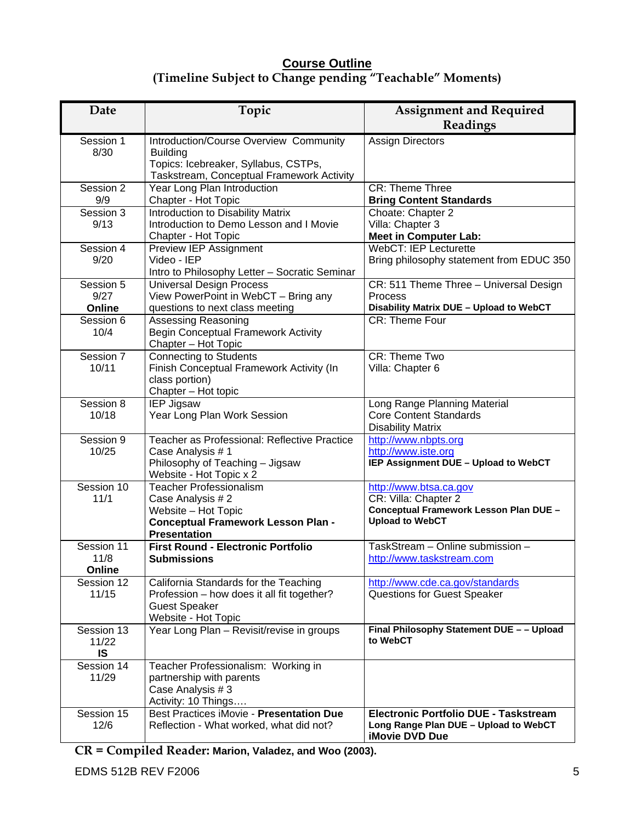# **Course Outline (Timeline Subject to Change pending "Teachable" Moments)**

| Date                             | Topic                                                                                                                                          | <b>Assignment and Required</b><br>Readings                                                                         |
|----------------------------------|------------------------------------------------------------------------------------------------------------------------------------------------|--------------------------------------------------------------------------------------------------------------------|
| Session 1<br>8/30                | Introduction/Course Overview Community<br><b>Building</b><br>Topics: Icebreaker, Syllabus, CSTPs,<br>Taskstream, Conceptual Framework Activity | <b>Assign Directors</b>                                                                                            |
| Session 2<br>9/9                 | Year Long Plan Introduction<br>Chapter - Hot Topic                                                                                             | <b>CR: Theme Three</b><br><b>Bring Content Standards</b>                                                           |
| Session 3<br>9/13                | <b>Introduction to Disability Matrix</b><br>Introduction to Demo Lesson and I Movie<br>Chapter - Hot Topic                                     | Choate: Chapter 2<br>Villa: Chapter 3<br><b>Meet in Computer Lab:</b>                                              |
| Session 4<br>9/20                | Preview IEP Assignment<br>Video - IEP<br>Intro to Philosophy Letter - Socratic Seminar                                                         | <b>WebCT: IEP Lecturette</b><br>Bring philosophy statement from EDUC 350                                           |
| Session 5<br>9/27<br>Online      | <b>Universal Design Process</b><br>View PowerPoint in WebCT - Bring any<br>questions to next class meeting                                     | CR: 511 Theme Three - Universal Design<br>Process<br>Disability Matrix DUE - Upload to WebCT                       |
| Session 6<br>10/4                | Assessing Reasoning<br><b>Begin Conceptual Framework Activity</b><br>Chapter - Hot Topic                                                       | CR: Theme Four                                                                                                     |
| Session 7<br>10/11               | <b>Connecting to Students</b><br>Finish Conceptual Framework Activity (In<br>class portion)<br>Chapter - Hot topic                             | <b>CR: Theme Two</b><br>Villa: Chapter 6                                                                           |
| Session 8<br>10/18               | <b>IEP Jigsaw</b><br>Year Long Plan Work Session                                                                                               | Long Range Planning Material<br><b>Core Content Standards</b><br><b>Disability Matrix</b>                          |
| Session 9<br>10/25               | Teacher as Professional: Reflective Practice<br>Case Analysis #1<br>Philosophy of Teaching - Jigsaw<br>Website - Hot Topic x 2                 | http://www.nbpts.org<br>http://www.iste.org<br>IEP Assignment DUE - Upload to WebCT                                |
| Session 10<br>11/1               | <b>Teacher Professionalism</b><br>Case Analysis # 2<br>Website - Hot Topic<br><b>Conceptual Framework Lesson Plan -</b><br><b>Presentation</b> | http://www.btsa.ca.gov<br>CR: Villa: Chapter 2<br>Conceptual Framework Lesson Plan DUE -<br><b>Upload to WebCT</b> |
| Session 11<br>11/8<br>Online     | <b>First Round - Electronic Portfolio</b><br><b>Submissions</b>                                                                                | TaskStream - Online submission -<br>http://www.taskstream.com                                                      |
| Session 12<br>11/15              | California Standards for the Teaching<br>Profession - how does it all fit together?<br><b>Guest Speaker</b><br>Website - Hot Topic             | http://www.cde.ca.gov/standards<br>Questions for Guest Speaker                                                     |
| Session 13<br>11/22<br><b>IS</b> | Year Long Plan - Revisit/revise in groups                                                                                                      | Final Philosophy Statement DUE -- Upload<br>to WebCT                                                               |
| Session 14<br>11/29              | Teacher Professionalism: Working in<br>partnership with parents<br>Case Analysis #3<br>Activity: 10 Things                                     |                                                                                                                    |
| Session 15<br>12/6               | Best Practices iMovie - Presentation Due<br>Reflection - What worked, what did not?                                                            | <b>Electronic Portfolio DUE - Taskstream</b><br>Long Range Plan DUE - Upload to WebCT<br><b>iMovie DVD Due</b>     |

**CR = Compiled Reader: Marion, Valadez, and Woo (2003).**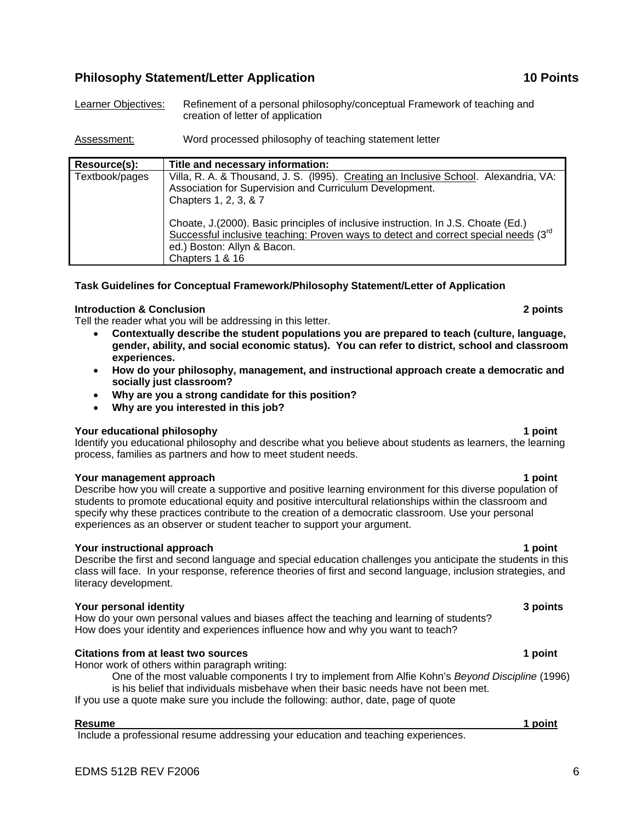# **Philosophy Statement/Letter Application 10 Points 10 Points**

Learner Objectives: Refinement of a personal philosophy/conceptual Framework of teaching and creation of letter of application

Assessment: Word processed philosophy of teaching statement letter

| Resource(s):   | Title and necessary information:                                                                                                                                                                                                 |
|----------------|----------------------------------------------------------------------------------------------------------------------------------------------------------------------------------------------------------------------------------|
| Textbook/pages | Villa, R. A. & Thousand, J. S. (1995). Creating an Inclusive School. Alexandria, VA:<br>Association for Supervision and Curriculum Development.<br>Chapters 1, 2, 3, & 7                                                         |
|                | Choate, J. (2000). Basic principles of inclusive instruction. In J.S. Choate (Ed.)<br>Successful inclusive teaching: Proven ways to detect and correct special needs $(3^{10}$<br>ed.) Boston: Allyn & Bacon.<br>Chapters 1 & 16 |

## **Task Guidelines for Conceptual Framework/Philosophy Statement/Letter of Application**

## **Introduction & Conclusion 2 points**

Tell the reader what you will be addressing in this letter.

- **Contextually describe the student populations you are prepared to teach (culture, language, gender, ability, and social economic status). You can refer to district, school and classroom experiences.**
- **How do your philosophy, management, and instructional approach create a democratic and socially just classroom?**
- **Why are you a strong candidate for this position?**
- **Why are you interested in this job?**

## **Your educational philosophy 1 point**

Identify you educational philosophy and describe what you believe about students as learners, the learning process, families as partners and how to meet student needs.

## **Your management approach 1 point 1 point 1 point 1 point 1 point**

Describe how you will create a supportive and positive learning environment for this diverse population of students to promote educational equity and positive intercultural relationships within the classroom and specify why these practices contribute to the creation of a democratic classroom. Use your personal experiences as an observer or student teacher to support your argument.

## **Your instructional approach in the set of the set of the set of the set of the set of the set of the set of the set of the set of the set of the set of the set of the set of the set of the set of the set of the set of the**

Describe the first and second language and special education challenges you anticipate the students in this class will face. In your response, reference theories of first and second language, inclusion strategies, and literacy development.

## **Your personal identity 3 points**

How do your own personal values and biases affect the teaching and learning of students? How does your identity and experiences influence how and why you want to teach?

## **Citations from at least two sources 1 point**

Honor work of others within paragraph writing:

One of the most valuable components I try to implement from Alfie Kohn's *Beyond Discipline* (1996) is his belief that individuals misbehave when their basic needs have not been met.

If you use a quote make sure you include the following: author, date, page of quote

## **Resume 1 point**

Include a professional resume addressing your education and teaching experiences.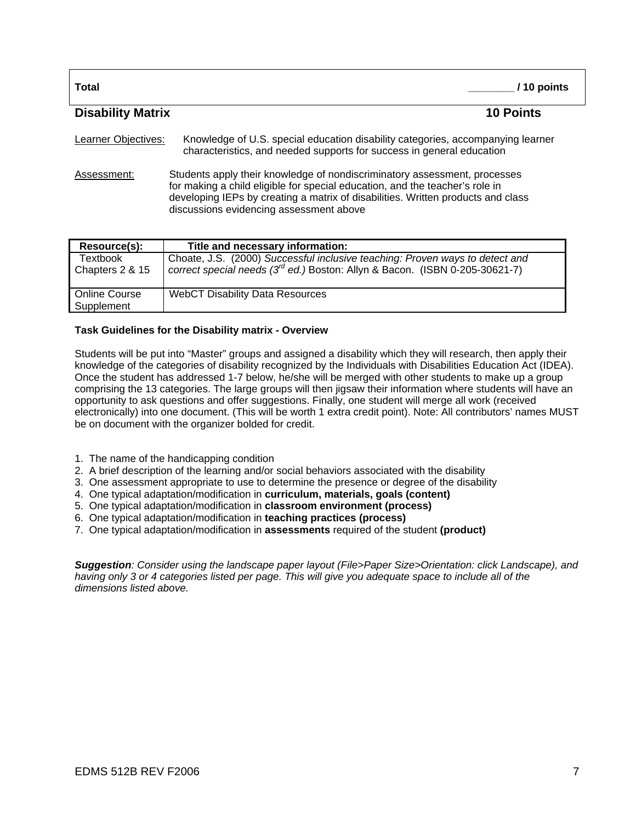| <b>Total</b> | / 10 points |
|--------------|-------------|
|--------------|-------------|

| <b>Disability Matrix</b> | <b>10 Points</b>                                                                |
|--------------------------|---------------------------------------------------------------------------------|
| Learner Obiectives:      | Knowledge of U.S. special education disability categories, accompanying learner |

characteristics, and needed supports for success in general education

Assessment: Students apply their knowledge of nondiscriminatory assessment, processes for making a child eligible for special education, and the teacher's role in developing IEPs by creating a matrix of disabilities. Written products and class discussions evidencing assessment above

| Resource(s):                       | Title and necessary information:                                                                                                                              |
|------------------------------------|---------------------------------------------------------------------------------------------------------------------------------------------------------------|
| Textbook<br>Chapters 2 & 15        | Choate, J.S. (2000) Successful inclusive teaching: Proven ways to detect and<br>correct special needs $(3^d$ ed.) Boston: Allyn & Bacon. (ISBN 0-205-30621-7) |
| <b>Online Course</b><br>Supplement | WebCT Disability Data Resources                                                                                                                               |

## **Task Guidelines for the Disability matrix - Overview**

Students will be put into "Master" groups and assigned a disability which they will research, then apply their knowledge of the categories of disability recognized by the Individuals with Disabilities Education Act (IDEA). Once the student has addressed 1-7 below, he/she will be merged with other students to make up a group comprising the 13 categories. The large groups will then jigsaw their information where students will have an opportunity to ask questions and offer suggestions. Finally, one student will merge all work (received electronically) into one document. (This will be worth 1 extra credit point). Note: All contributors' names MUST be on document with the organizer bolded for credit.

- 1. The name of the handicapping condition
- 2. A brief description of the learning and/or social behaviors associated with the disability
- 3. One assessment appropriate to use to determine the presence or degree of the disability
- 4. One typical adaptation/modification in **curriculum, materials, goals (content)**
- 5. One typical adaptation/modification in **classroom environment (process)**
- 6. One typical adaptation/modification in **teaching practices (process)**
- 7. One typical adaptation/modification in **assessments** required of the student **(product)**

*Suggestion: Consider using the landscape paper layout (File>Paper Size>Orientation: click Landscape), and having only 3 or 4 categories listed per page. This will give you adequate space to include all of the dimensions listed above.*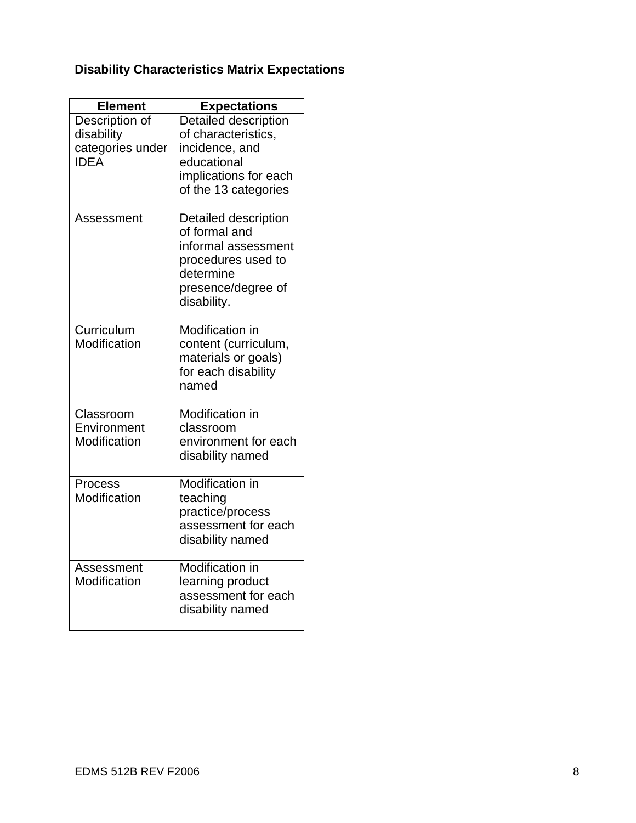# **Disability Characteristics Matrix Expectations**

| <b>Element</b>                                                  | <b>Expectations</b>                                                                                                                  |
|-----------------------------------------------------------------|--------------------------------------------------------------------------------------------------------------------------------------|
| Description of<br>disability<br>categories under<br><b>IDEA</b> | Detailed description<br>of characteristics,<br>incidence, and<br>educational<br>implications for each<br>of the 13 categories        |
| Assessment                                                      | Detailed description<br>of formal and<br>informal assessment<br>procedures used to<br>determine<br>presence/degree of<br>disability. |
| Curriculum<br>Modification                                      | <b>Modification in</b><br>content (curriculum,<br>materials or goals)<br>for each disability<br>named                                |
| Classroom<br>Environment<br>Modification                        | <b>Modification in</b><br>classroom<br>environment for each<br>disability named                                                      |
| Process<br>Modification                                         | Modification in<br>teaching<br>practice/process<br>assessment for each<br>disability named                                           |
| Assessment<br>Modification                                      | <b>Modification in</b><br>learning product<br>assessment for each<br>disability named                                                |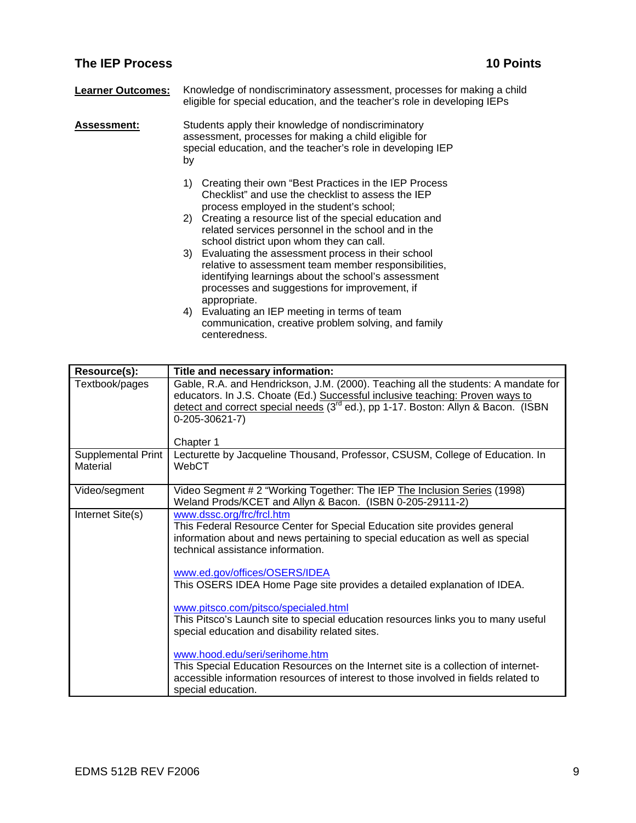## **The IEP Process 10 Points**

| <b>Learner Outcomes:</b> | Knowledge of nondiscriminatory assessment, processes for making a child   |
|--------------------------|---------------------------------------------------------------------------|
|                          | eligible for special education, and the teacher's role in developing IEPs |

Assessment: Students apply their knowledge of nondiscriminatory assessment, processes for making a child eligible for special education, and the teacher's role in developing IEP by

> 1) Creating their own "Best Practices in the IEP Process Checklist" and use the checklist to assess the IEP process employed in the student's school;

- 2) Creating a resource list of the special education and related services personnel in the school and in the school district upon whom they can call.
- 3) Evaluating the assessment process in their school relative to assessment team member responsibilities, identifying learnings about the school's assessment processes and suggestions for improvement, if appropriate.
- 4) Evaluating an IEP meeting in terms of team communication, creative problem solving, and family centeredness.

| Resource(s):                   | Title and necessary information:                                                                                                                                                                                                                                                                     |
|--------------------------------|------------------------------------------------------------------------------------------------------------------------------------------------------------------------------------------------------------------------------------------------------------------------------------------------------|
| Textbook/pages                 | Gable, R.A. and Hendrickson, J.M. (2000). Teaching all the students: A mandate for<br>educators. In J.S. Choate (Ed.) Successful inclusive teaching: Proven ways to<br>detect and correct special needs (3 <sup>rd</sup> ed.), pp 1-17. Boston: Allyn & Bacon. (ISBN<br>$0-205-30621-7$<br>Chapter 1 |
| Supplemental Print<br>Material | Lecturette by Jacqueline Thousand, Professor, CSUSM, College of Education. In<br>WebCT                                                                                                                                                                                                               |
| Video/segment                  | Video Segment # 2 "Working Together: The IEP The Inclusion Series (1998)<br>Weland Prods/KCET and Allyn & Bacon. (ISBN 0-205-29111-2)                                                                                                                                                                |
| Internet Site(s)               | www.dssc.org/frc/frcl.htm<br>This Federal Resource Center for Special Education site provides general<br>information about and news pertaining to special education as well as special<br>technical assistance information.                                                                          |
|                                | www.ed.gov/offices/OSERS/IDEA<br>This OSERS IDEA Home Page site provides a detailed explanation of IDEA.                                                                                                                                                                                             |
|                                | www.pitsco.com/pitsco/specialed.html<br>This Pitsco's Launch site to special education resources links you to many useful<br>special education and disability related sites.                                                                                                                         |
|                                | www.hood.edu/seri/serihome.htm<br>This Special Education Resources on the Internet site is a collection of internet-<br>accessible information resources of interest to those involved in fields related to<br>special education.                                                                    |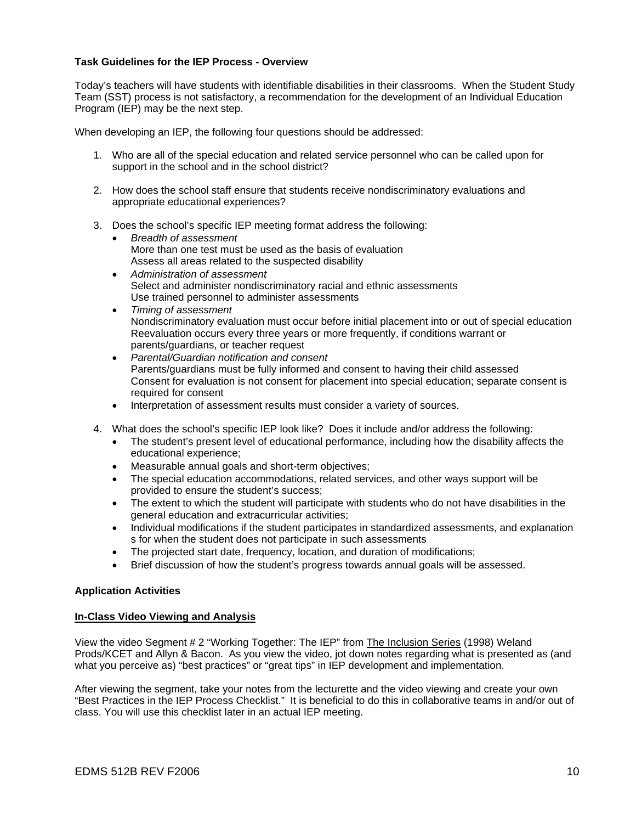## **Task Guidelines for the IEP Process - Overview**

Today's teachers will have students with identifiable disabilities in their classrooms. When the Student Study Team (SST) process is not satisfactory, a recommendation for the development of an Individual Education Program (IEP) may be the next step.

When developing an IEP, the following four questions should be addressed:

- 1. Who are all of the special education and related service personnel who can be called upon for support in the school and in the school district?
- 2. How does the school staff ensure that students receive nondiscriminatory evaluations and appropriate educational experiences?
- 3. Does the school's specific IEP meeting format address the following:
	- *Breadth of assessment*  More than one test must be used as the basis of evaluation Assess all areas related to the suspected disability
	- *Administration of assessment*  Select and administer nondiscriminatory racial and ethnic assessments Use trained personnel to administer assessments
	- *Timing of assessment*  Nondiscriminatory evaluation must occur before initial placement into or out of special education Reevaluation occurs every three years or more frequently, if conditions warrant or parents/guardians, or teacher request
	- *Parental/Guardian notification and consent*  Parents/guardians must be fully informed and consent to having their child assessed Consent for evaluation is not consent for placement into special education; separate consent is required for consent
	- Interpretation of assessment results must consider a variety of sources.
- 4. What does the school's specific IEP look like? Does it include and/or address the following:
	- The student's present level of educational performance, including how the disability affects the educational experience;
	- Measurable annual goals and short-term objectives;
	- The special education accommodations, related services, and other ways support will be provided to ensure the student's success;
	- The extent to which the student will participate with students who do not have disabilities in the general education and extracurricular activities;
	- Individual modifications if the student participates in standardized assessments, and explanation s for when the student does not participate in such assessments
	- The projected start date, frequency, location, and duration of modifications;
	- Brief discussion of how the student's progress towards annual goals will be assessed.

## **Application Activities**

## **In-Class Video Viewing and Analysis**

View the video Segment # 2 "Working Together: The IEP" from The Inclusion Series (1998) Weland Prods/KCET and Allyn & Bacon. As you view the video, jot down notes regarding what is presented as (and what you perceive as) "best practices" or "great tips" in IEP development and implementation.

After viewing the segment, take your notes from the lecturette and the video viewing and create your own "Best Practices in the IEP Process Checklist." It is beneficial to do this in collaborative teams in and/or out of class. You will use this checklist later in an actual IEP meeting.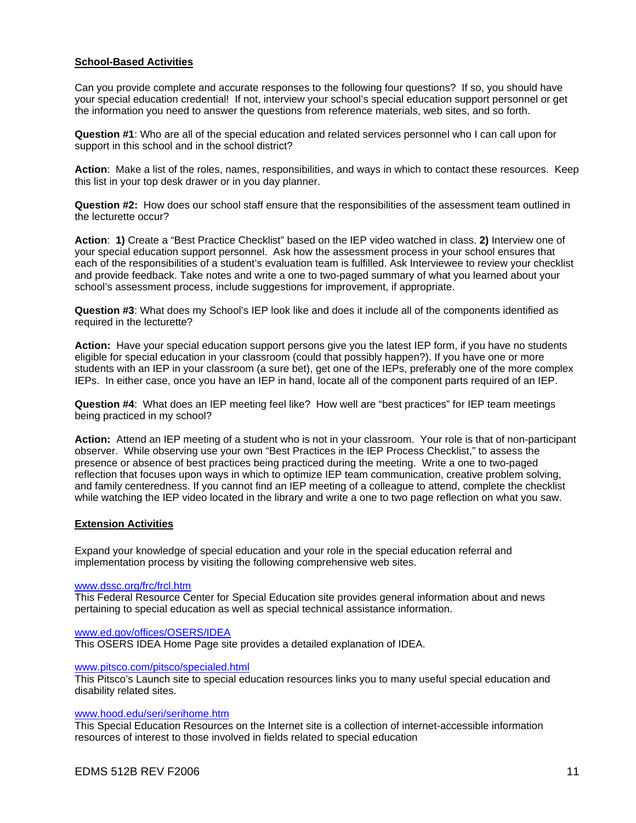## **School-Based Activities**

Can you provide complete and accurate responses to the following four questions? If so, you should have your special education credential! If not, interview your school's special education support personnel or get the information you need to answer the questions from reference materials, web sites, and so forth.

**Question #1**: Who are all of the special education and related services personnel who I can call upon for support in this school and in the school district?

**Action**: Make a list of the roles, names, responsibilities, and ways in which to contact these resources. Keep this list in your top desk drawer or in you day planner.

**Question #2:** How does our school staff ensure that the responsibilities of the assessment team outlined in the lecturette occur?

**Action**: **1)** Create a "Best Practice Checklist" based on the IEP video watched in class. **2)** Interview one of your special education support personnel. Ask how the assessment process in your school ensures that each of the responsibilities of a student's evaluation team is fulfilled. Ask Interviewee to review your checklist and provide feedback. Take notes and write a one to two-paged summary of what you learned about your school's assessment process, include suggestions for improvement, if appropriate.

**Question #3**: What does my School's IEP look like and does it include all of the components identified as required in the lecturette?

**Action:** Have your special education support persons give you the latest IEP form, if you have no students eligible for special education in your classroom (could that possibly happen?). If you have one or more students with an IEP in your classroom (a sure bet), get one of the IEPs, preferably one of the more complex IEPs. In either case, once you have an IEP in hand, locate all of the component parts required of an IEP.

**Question #4**: What does an IEP meeting feel like? How well are "best practices" for IEP team meetings being practiced in my school?

**Action:** Attend an IEP meeting of a student who is not in your classroom. Your role is that of non-participant observer. While observing use your own "Best Practices in the IEP Process Checklist," to assess the presence or absence of best practices being practiced during the meeting. Write a one to two-paged reflection that focuses upon ways in which to optimize IEP team communication, creative problem solving, and family centeredness. If you cannot find an IEP meeting of a colleague to attend, complete the checklist while watching the IEP video located in the library and write a one to two page reflection on what you saw.

## **Extension Activities**

Expand your knowledge of special education and your role in the special education referral and implementation process by visiting the following comprehensive web sites.

#### www.dssc.org/frc/frcl.htm

This Federal Resource Center for Special Education site provides general information about and news pertaining to special education as well as special technical assistance information.

#### www.ed.gov/offices/OSERS/IDEA

This OSERS IDEA Home Page site provides a detailed explanation of IDEA.

#### www.pitsco.com/pitsco/specialed.html

This Pitsco's Launch site to special education resources links you to many useful special education and disability related sites.

#### www.hood.edu/seri/serihome.htm

This Special Education Resources on the Internet site is a collection of internet-accessible information resources of interest to those involved in fields related to special education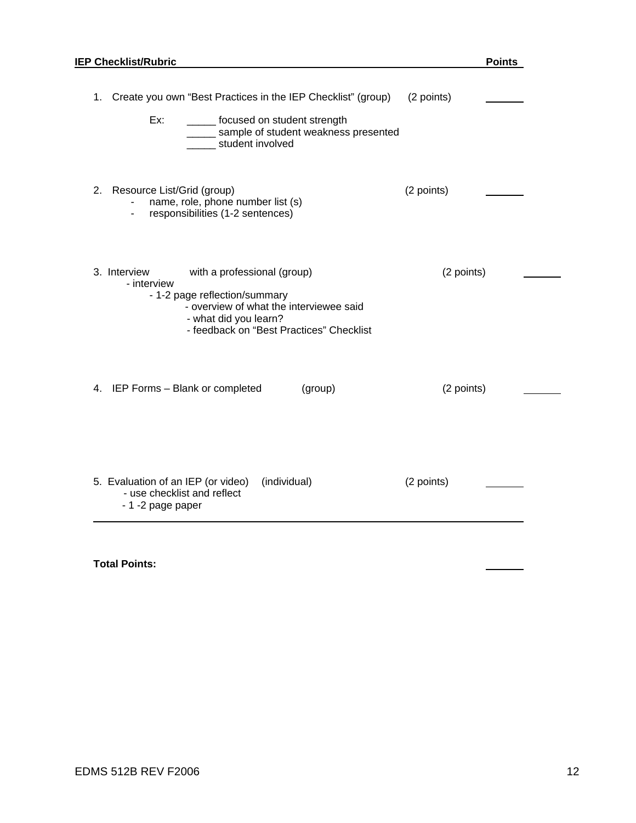| Points |  |
|--------|--|
|        |  |

|                                                                                        | 1. Create you own "Best Practices in the IEP Checklist" (group)                                                                               | (2 points) |  |
|----------------------------------------------------------------------------------------|-----------------------------------------------------------------------------------------------------------------------------------------------|------------|--|
| Ex:                                                                                    | ______ focused on student strength<br>______ sample of student weakness presented<br>student involved                                         |            |  |
| 2. Resource List/Grid (group)                                                          | name, role, phone number list (s)<br>responsibilities (1-2 sentences)                                                                         | (2 points) |  |
| 3. Interview<br>- interview                                                            | with a professional (group)                                                                                                                   | (2 points) |  |
|                                                                                        | - 1-2 page reflection/summary<br>- overview of what the interviewee said<br>- what did you learn?<br>- feedback on "Best Practices" Checklist |            |  |
|                                                                                        | 4. IEP Forms - Blank or completed<br>(group)                                                                                                  | (2 points) |  |
|                                                                                        |                                                                                                                                               |            |  |
| 5. Evaluation of an IEP (or video)<br>- use checklist and reflect<br>- 1 -2 page paper | (individual)                                                                                                                                  | (2 points) |  |

**Total Points:**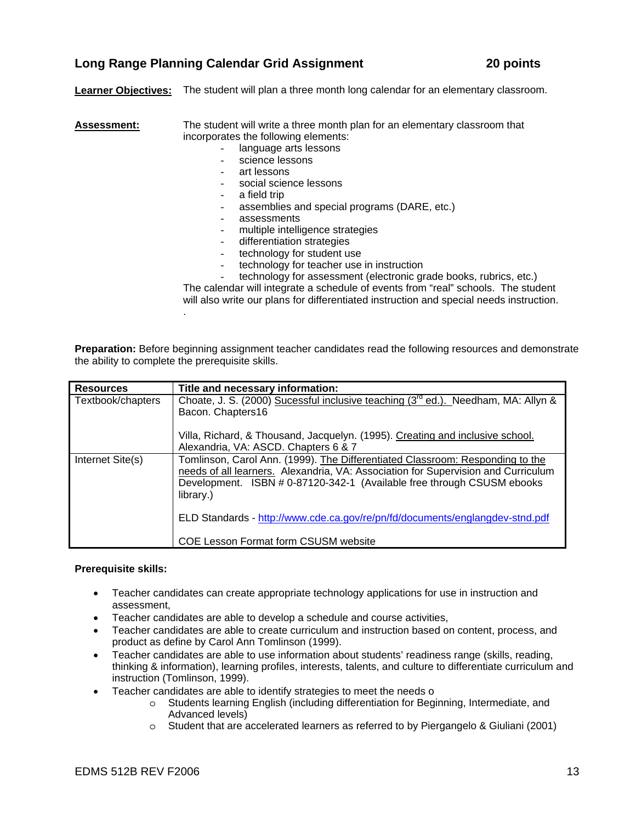# **Long Range Planning Calendar Grid Assignment 20 points**

.

**Learner Objectives:** The student will plan a three month long calendar for an elementary classroom.

**Assessment:** The student will write a three month plan for an elementary classroom that incorporates the following elements:

- language arts lessons
- science lessons
- art lessons
- social science lessons
- a field trip
- assemblies and special programs (DARE, etc.)
- assessments
- multiple intelligence strategies
- differentiation strategies
- technology for student use
- technology for teacher use in instruction
- technology for assessment (electronic grade books, rubrics, etc.)

The calendar will integrate a schedule of events from "real" schools. The student will also write our plans for differentiated instruction and special needs instruction.

**Preparation:** Before beginning assignment teacher candidates read the following resources and demonstrate the ability to complete the prerequisite skills.

| <b>Resources</b>  | Title and necessary information:                                                                                                                                                                                                                          |
|-------------------|-----------------------------------------------------------------------------------------------------------------------------------------------------------------------------------------------------------------------------------------------------------|
| Textbook/chapters | Choate, J. S. (2000) Sucessful inclusive teaching (3 <sup>rd</sup> ed.). Needham, MA: Allyn &                                                                                                                                                             |
|                   | Bacon. Chapters16                                                                                                                                                                                                                                         |
|                   | Villa, Richard, & Thousand, Jacquelyn. (1995). Creating and inclusive school.                                                                                                                                                                             |
|                   | Alexandria, VA: ASCD. Chapters 6 & 7                                                                                                                                                                                                                      |
| Internet Site(s)  | Tomlinson, Carol Ann. (1999). The Differentiated Classroom: Responding to the<br>needs of all learners. Alexandria, VA: Association for Supervision and Curriculum<br>Development. ISBN # 0-87120-342-1 (Available free through CSUSM ebooks<br>library.) |
|                   | ELD Standards - http://www.cde.ca.gov/re/pn/fd/documents/englangdev-stnd.pdf                                                                                                                                                                              |
|                   | <b>COE Lesson Format form CSUSM website</b>                                                                                                                                                                                                               |

## **Prerequisite skills:**

- Teacher candidates can create appropriate technology applications for use in instruction and assessment,
- Teacher candidates are able to develop a schedule and course activities,
- Teacher candidates are able to create curriculum and instruction based on content, process, and product as define by Carol Ann Tomlinson (1999).
- Teacher candidates are able to use information about students' readiness range (skills, reading, thinking & information), learning profiles, interests, talents, and culture to differentiate curriculum and instruction (Tomlinson, 1999).
- Teacher candidates are able to identify strategies to meet the needs o
	- o Students learning English (including differentiation for Beginning, Intermediate, and Advanced levels)
	- o Student that are accelerated learners as referred to by Piergangelo & Giuliani (2001)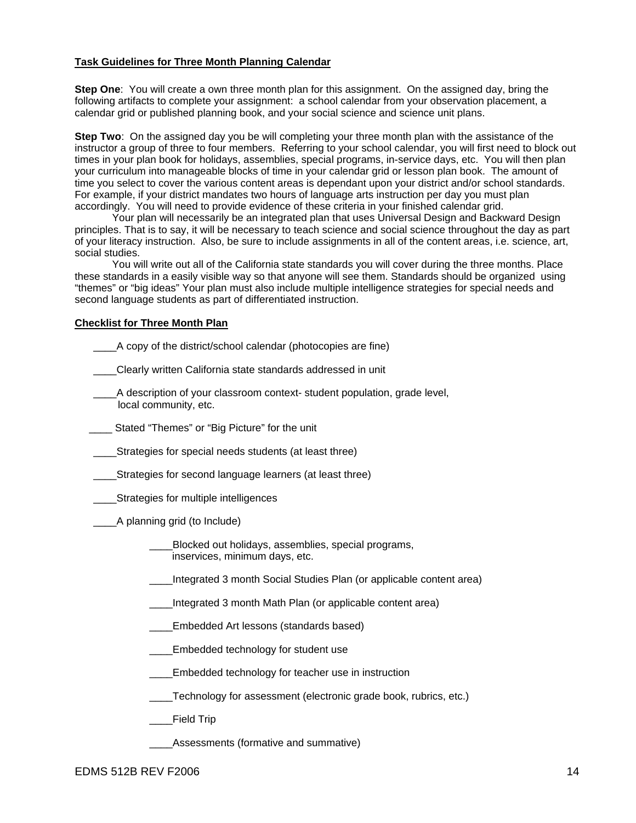## **Task Guidelines for Three Month Planning Calendar**

**Step One**: You will create a own three month plan for this assignment. On the assigned day, bring the following artifacts to complete your assignment: a school calendar from your observation placement, a calendar grid or published planning book, and your social science and science unit plans.

**Step Two**: On the assigned day you be will completing your three month plan with the assistance of the instructor a group of three to four members. Referring to your school calendar, you will first need to block out times in your plan book for holidays, assemblies, special programs, in-service days, etc. You will then plan your curriculum into manageable blocks of time in your calendar grid or lesson plan book. The amount of time you select to cover the various content areas is dependant upon your district and/or school standards. For example, if your district mandates two hours of language arts instruction per day you must plan accordingly. You will need to provide evidence of these criteria in your finished calendar grid.

 Your plan will necessarily be an integrated plan that uses Universal Design and Backward Design principles. That is to say, it will be necessary to teach science and social science throughout the day as part of your literacy instruction. Also, be sure to include assignments in all of the content areas, i.e. science, art, social studies.

 You will write out all of the California state standards you will cover during the three months. Place these standards in a easily visible way so that anyone will see them. Standards should be organized using "themes" or "big ideas" Your plan must also include multiple intelligence strategies for special needs and second language students as part of differentiated instruction.

## **Checklist for Three Month Plan**

- A copy of the district/school calendar (photocopies are fine)
- \_\_\_\_Clearly written California state standards addressed in unit
- \_\_\_\_A description of your classroom context- student population, grade level, local community, etc.
- Stated "Themes" or "Big Picture" for the unit
- \_\_\_\_Strategies for special needs students (at least three)
- \_\_\_\_Strategies for second language learners (at least three)
- **\_\_\_\_\_Strategies for multiple intelligences**
- \_\_\_\_A planning grid (to Include)
	- Blocked out holidays, assemblies, special programs, inservices, minimum days, etc.
	- Integrated 3 month Social Studies Plan (or applicable content area)
	- Integrated 3 month Math Plan (or applicable content area)
	- \_\_\_\_Embedded Art lessons (standards based)
	- Embedded technology for student use
	- \_\_\_\_Embedded technology for teacher use in instruction
	- Technology for assessment (electronic grade book, rubrics, etc.)
	- \_\_\_\_Field Trip
	- \_\_\_\_Assessments (formative and summative)

## EDMS 512B REV F2006 14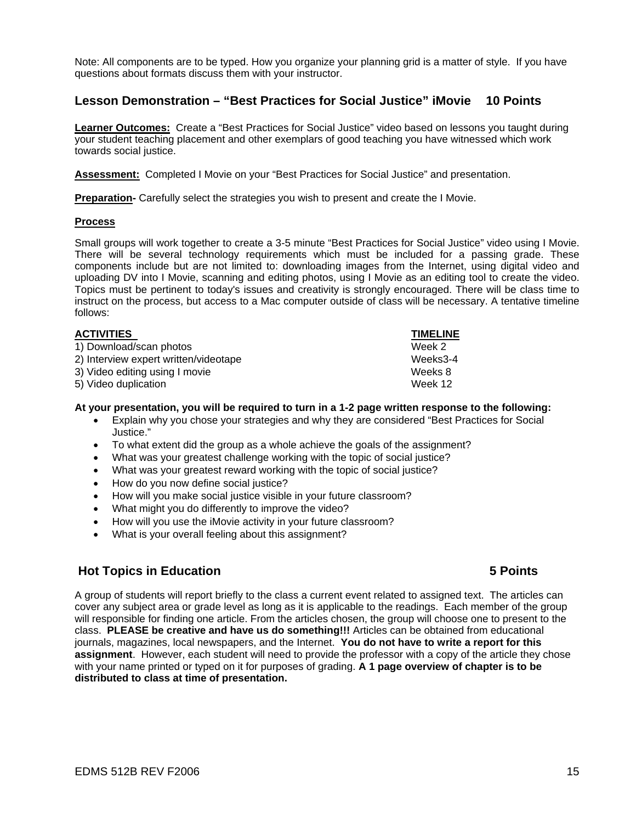Note: All components are to be typed. How you organize your planning grid is a matter of style. If you have questions about formats discuss them with your instructor.

## **Lesson Demonstration – "Best Practices for Social Justice" iMovie 10 Points**

**Learner Outcomes:** Create a "Best Practices for Social Justice" video based on lessons you taught during your student teaching placement and other exemplars of good teaching you have witnessed which work towards social justice.

**Assessment:** Completed I Movie on your "Best Practices for Social Justice" and presentation.

**Preparation-** Carefully select the strategies you wish to present and create the I Movie.

## **Process**

Small groups will work together to create a 3-5 minute "Best Practices for Social Justice" video using I Movie. There will be several technology requirements which must be included for a passing grade. These components include but are not limited to: downloading images from the Internet, using digital video and uploading DV into I Movie, scanning and editing photos, using I Movie as an editing tool to create the video. Topics must be pertinent to today's issues and creativity is strongly encouraged. There will be class time to instruct on the process, but access to a Mac computer outside of class will be necessary. A tentative timeline follows:

| <b>ACTIVITIES</b>                     | <b>TIMELINE</b> |
|---------------------------------------|-----------------|
| 1) Download/scan photos               | Week 2          |
| 2) Interview expert written/videotape | Weeks3-4        |
| 3) Video editing using I movie        | Weeks 8         |
| 5) Video duplication                  | Week 12         |
|                                       |                 |

## **At your presentation, you will be required to turn in a 1-2 page written response to the following:**

- Explain why you chose your strategies and why they are considered "Best Practices for Social Justice."
- To what extent did the group as a whole achieve the goals of the assignment?
- What was your greatest challenge working with the topic of social justice?
- What was your greatest reward working with the topic of social justice?
- How do you now define social justice?
- How will you make social justice visible in your future classroom?
- What might you do differently to improve the video?
- How will you use the iMovie activity in your future classroom?
- What is your overall feeling about this assignment?

# **Hot Topics in Education 5 Points**

A group of students will report briefly to the class a current event related to assigned text. The articles can cover any subject area or grade level as long as it is applicable to the readings. Each member of the group will responsible for finding one article. From the articles chosen, the group will choose one to present to the class. **PLEASE be creative and have us do something!!!** Articles can be obtained from educational journals, magazines, local newspapers, and the Internet. **You do not have to write a report for this assignment**. However, each student will need to provide the professor with a copy of the article they chose with your name printed or typed on it for purposes of grading. **A 1 page overview of chapter is to be distributed to class at time of presentation.**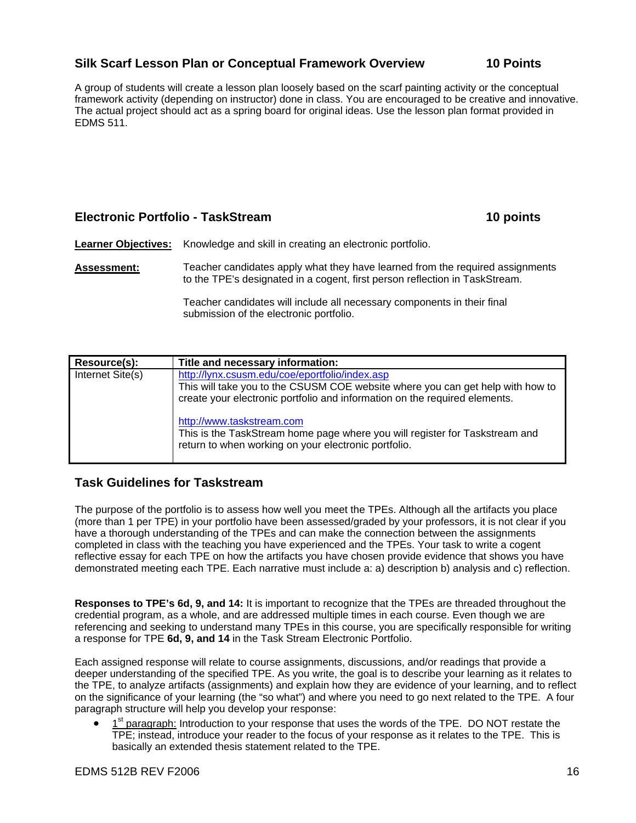# **Silk Scarf Lesson Plan or Conceptual Framework Overview 10 Points**

A group of students will create a lesson plan loosely based on the scarf painting activity or the conceptual framework activity (depending on instructor) done in class. You are encouraged to be creative and innovative. The actual project should act as a spring board for original ideas. Use the lesson plan format provided in EDMS 511.

# **Electronic Portfolio - TaskStream 10 points 10 points**

**Learner Objectives:** Knowledge and skill in creating an electronic portfolio.

**Assessment:** Teacher candidates apply what they have learned from the required assignments to the TPE's designated in a cogent, first person reflection in TaskStream.

> Teacher candidates will include all necessary components in their final submission of the electronic portfolio.

| Resource(s):     | Title and necessary information:                                                                                                                                                                               |
|------------------|----------------------------------------------------------------------------------------------------------------------------------------------------------------------------------------------------------------|
| Internet Site(s) | http://lynx.csusm.edu/coe/eportfolio/index.asp<br>This will take you to the CSUSM COE website where you can get help with how to<br>create your electronic portfolio and information on the required elements. |
|                  | http://www.taskstream.com<br>This is the TaskStream home page where you will register for Taskstream and<br>return to when working on your electronic portfolio.                                               |

## **Task Guidelines for Taskstream**

The purpose of the portfolio is to assess how well you meet the TPEs. Although all the artifacts you place (more than 1 per TPE) in your portfolio have been assessed/graded by your professors, it is not clear if you have a thorough understanding of the TPEs and can make the connection between the assignments completed in class with the teaching you have experienced and the TPEs. Your task to write a cogent reflective essay for each TPE on how the artifacts you have chosen provide evidence that shows you have demonstrated meeting each TPE. Each narrative must include a: a) description b) analysis and c) reflection.

**Responses to TPE's 6d, 9, and 14:** It is important to recognize that the TPEs are threaded throughout the credential program, as a whole, and are addressed multiple times in each course. Even though we are referencing and seeking to understand many TPEs in this course, you are specifically responsible for writing a response for TPE **6d, 9, and 14** in the Task Stream Electronic Portfolio.

Each assigned response will relate to course assignments, discussions, and/or readings that provide a deeper understanding of the specified TPE. As you write, the goal is to describe your learning as it relates to the TPE, to analyze artifacts (assignments) and explain how they are evidence of your learning, and to reflect on the significance of your learning (the "so what") and where you need to go next related to the TPE. A four paragraph structure will help you develop your response:

1<sup>st</sup> paragraph: Introduction to your response that uses the words of the TPE. DO NOT restate the TPE; instead, introduce your reader to the focus of your response as it relates to the TPE. This is basically an extended thesis statement related to the TPE.